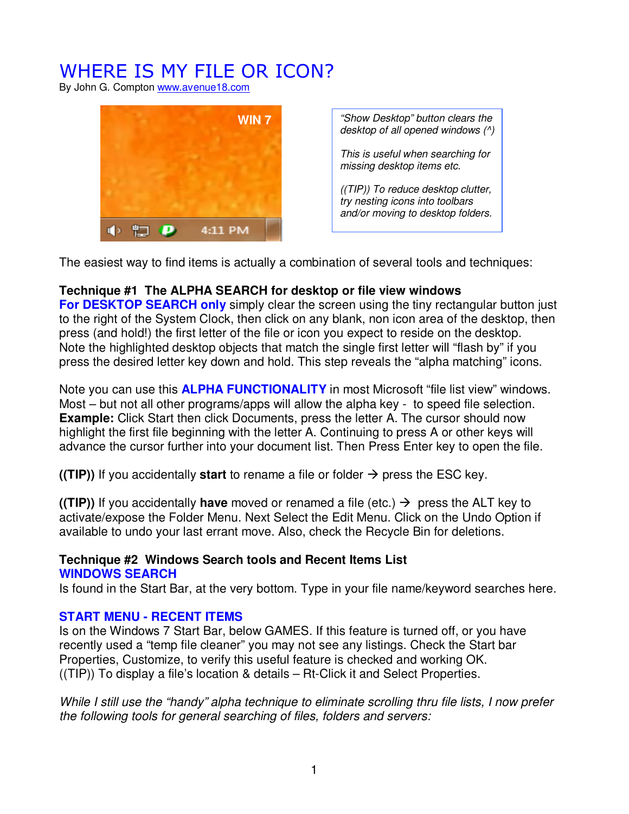# WHERE IS MY FILE OR ICON?

By John G. Compton www.avenue18.com



*"Show Desktop" button clears the desktop of all opened windows (^)* 

*This is useful when searching for missing desktop items etc.* 

*((TIP)) To reduce desktop clutter, try nesting icons into toolbars and/or moving to desktop folders.* 

The easiest way to find items is actually a combination of several tools and techniques:

### **Technique #1 The ALPHA SEARCH for desktop or file view windows**

**For DESKTOP SEARCH only** simply clear the screen using the tiny rectangular button just to the right of the System Clock, then click on any blank, non icon area of the desktop, then press (and hold!) the first letter of the file or icon you expect to reside on the desktop. Note the highlighted desktop objects that match the single first letter will "flash by" if you press the desired letter key down and hold. This step reveals the "alpha matching" icons.

Note you can use this **ALPHA FUNCTIONALITY** in most Microsoft "file list view" windows. Most – but not all other programs/apps will allow the alpha key - to speed file selection. **Example:** Click Start then click Documents, press the letter A. The cursor should now highlight the first file beginning with the letter A. Continuing to press A or other keys will advance the cursor further into your document list. Then Press Enter key to open the file.

**((TIP))** If you accidentally **start** to rename a file or folder  $\rightarrow$  press the ESC key.

**((TIP))** If you accidentally **have** moved or renamed a file (etc.)  $\rightarrow$  press the ALT key to activate/expose the Folder Menu. Next Select the Edit Menu. Click on the Undo Option if available to undo your last errant move. Also, check the Recycle Bin for deletions.

#### **Technique #2 Windows Search tools and Recent Items List WINDOWS SEARCH**

Is found in the Start Bar, at the very bottom. Type in your file name/keyword searches here.

### **START MENU - RECENT ITEMS**

Is on the Windows 7 Start Bar, below GAMES. If this feature is turned off, or you have recently used a "temp file cleaner" you may not see any listings. Check the Start bar Properties, Customize, to verify this useful feature is checked and working OK. ((TIP)) To display a file's location & details – Rt-Click it and Select Properties.

*While I still use the "handy" alpha technique to eliminate scrolling thru file lists, I now prefer the following tools for general searching of files, folders and servers:*